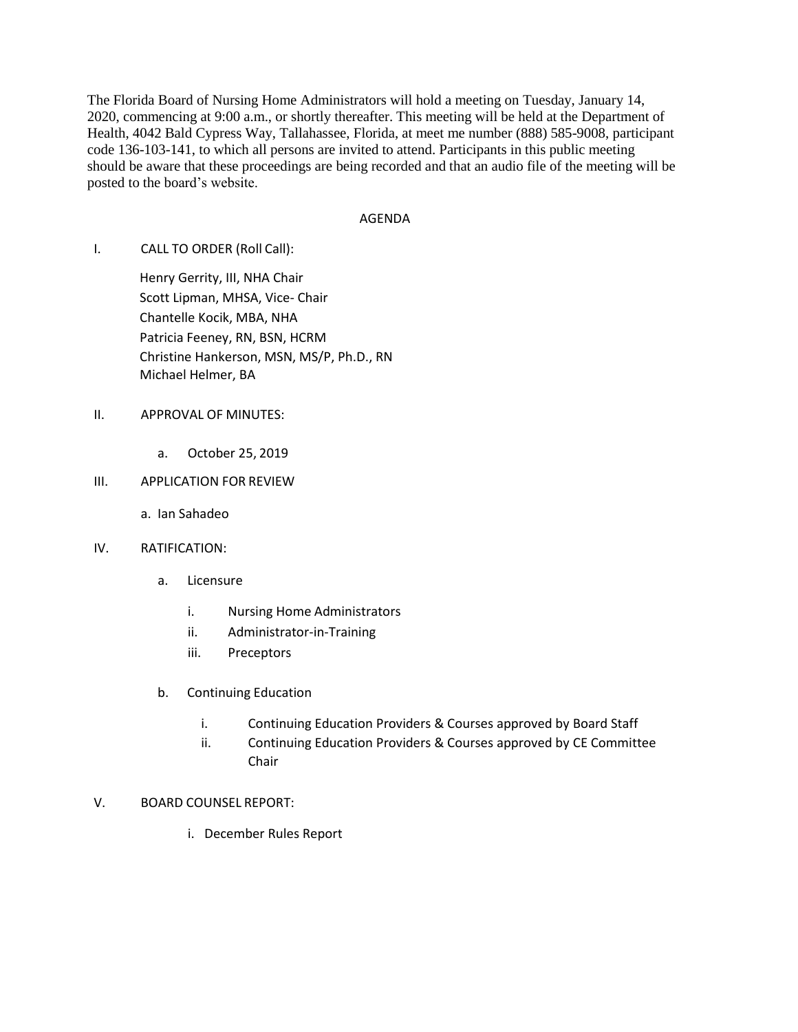The Florida Board of Nursing Home Administrators will hold a meeting on Tuesday, January 14, 2020, commencing at 9:00 a.m., or shortly thereafter. This meeting will be held at the Department of Health, 4042 Bald Cypress Way, Tallahassee, Florida, at meet me number (888) 585-9008, participant code 136-103-141, to which all persons are invited to attend. Participants in this public meeting should be aware that these proceedings are being recorded and that an audio file of the meeting will be posted to the board's website.

### AGENDA

I. CALL TO ORDER (Roll Call):

Henry Gerrity, III, NHA Chair Scott Lipman, MHSA, Vice- Chair Chantelle Kocik, MBA, NHA Patricia Feeney, RN, BSN, HCRM Christine Hankerson, MSN, MS/P, Ph.D., RN Michael Helmer, BA

### II. APPROVAL OF MINUTES:

a. October 25, 2019

# III. APPLICATION FOR REVIEW

a. Ian Sahadeo

## IV. RATIFICATION:

- a. Licensure
	- i. Nursing Home Administrators
	- ii. Administrator-in-Training
	- iii. Preceptors
- b. Continuing Education
	- i. Continuing Education Providers & Courses approved by Board Staff
	- ii. Continuing Education Providers & Courses approved by CE Committee Chair

## V. BOARD COUNSEL REPORT:

i. December Rules Report